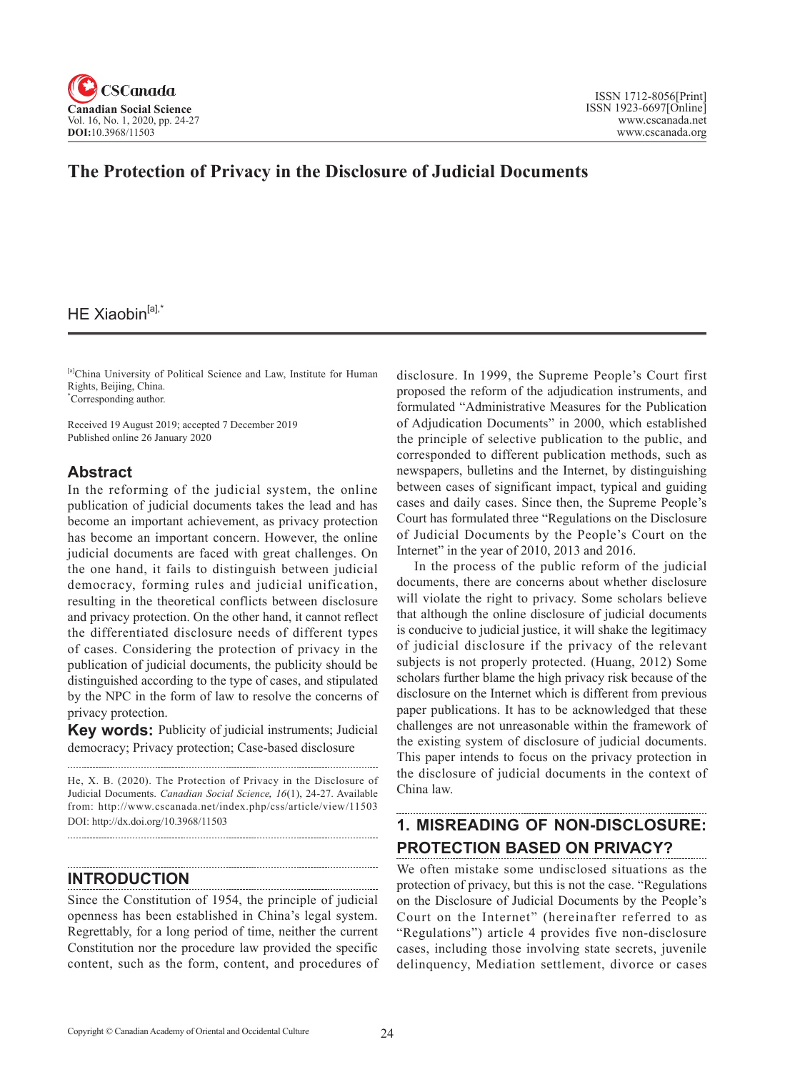

# **The Protection of Privacy in the Disclosure of Judicial Documents**

## HE Xiaobin $[a]$ ,\*

[a]China University of Political Science and Law, Institute for Human Rights, Beijing, China. \* Corresponding author.

Received 19 August 2019; accepted 7 December 2019 Published online 26 January 2020

### **Abstract**

In the reforming of the judicial system, the online publication of judicial documents takes the lead and has become an important achievement, as privacy protection has become an important concern. However, the online judicial documents are faced with great challenges. On the one hand, it fails to distinguish between judicial democracy, forming rules and judicial unification, resulting in the theoretical conflicts between disclosure and privacy protection. On the other hand, it cannot reflect the differentiated disclosure needs of different types of cases. Considering the protection of privacy in the publication of judicial documents, the publicity should be distinguished according to the type of cases, and stipulated by the NPC in the form of law to resolve the concerns of privacy protection.

**Key words:** Publicity of judicial instruments; Judicial democracy; Privacy protection; Case-based disclosure

He, X. B. (2020). The Protection of Privacy in the Disclosure of Judicial Documents. *Canadian Social Science*, <sup>16</sup>(1), 24-27. Available from: http://www.cscanada.net/index.php/css/article/view/11503 DOI: http://dx.doi.org/10.3968/11503

### **INTRODUCTION**

.....................................

Since the Constitution of 1954, the principle of judicial openness has been established in China's legal system. Regrettably, for a long period of time, neither the current Constitution nor the procedure law provided the specific content, such as the form, content, and procedures of

disclosure. In 1999, the Supreme People's Court first proposed the reform of the adjudication instruments, and formulated "Administrative Measures for the Publication of Adjudication Documents" in 2000, which established the principle of selective publication to the public, and corresponded to different publication methods, such as newspapers, bulletins and the Internet, by distinguishing between cases of significant impact, typical and guiding cases and daily cases. Since then, the Supreme People's Court has formulated three "Regulations on the Disclosure of Judicial Documents by the People's Court on the Internet" in the year of 2010, 2013 and 2016.

In the process of the public reform of the judicial documents, there are concerns about whether disclosure will violate the right to privacy. Some scholars believe that although the online disclosure of judicial documents is conducive to judicial justice, it will shake the legitimacy of judicial disclosure if the privacy of the relevant subjects is not properly protected. (Huang, 2012) Some scholars further blame the high privacy risk because of the disclosure on the Internet which is different from previous paper publications. It has to be acknowledged that these challenges are not unreasonable within the framework of the existing system of disclosure of judicial documents. This paper intends to focus on the privacy protection in the disclosure of judicial documents in the context of China law.

# **1. MISREADING OF NON-DISCLOSURE: PROTECTION BASED ON PRIVACY?**

We often mistake some undisclosed situations as the protection of privacy, but this is not the case. "Regulations on the Disclosure of Judicial Documents by the People's Court on the Internet" (hereinafter referred to as "Regulations") article 4 provides five non-disclosure cases, including those involving state secrets, juvenile delinquency, Mediation settlement, divorce or cases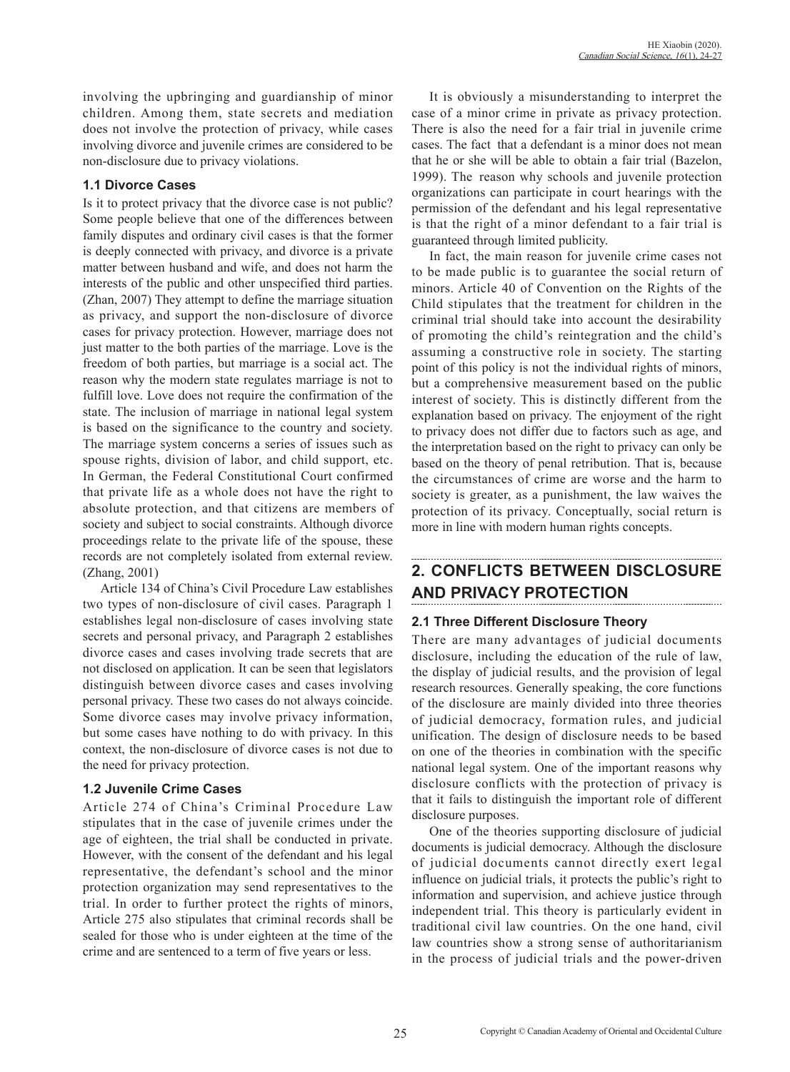involving the upbringing and guardianship of minor children. Among them, state secrets and mediation does not involve the protection of privacy, while cases involving divorce and juvenile crimes are considered to be non-disclosure due to privacy violations.

### **1.1 Divorce Cases**

Is it to protect privacy that the divorce case is not public? Some people believe that one of the differences between family disputes and ordinary civil cases is that the former is deeply connected with privacy, and divorce is a private matter between husband and wife, and does not harm the interests of the public and other unspecified third parties. (Zhan, 2007) They attempt to define the marriage situation as privacy, and support the non-disclosure of divorce cases for privacy protection. However, marriage does not just matter to the both parties of the marriage. Love is the freedom of both parties, but marriage is a social act. The reason why the modern state regulates marriage is not to fulfill love. Love does not require the confirmation of the state. The inclusion of marriage in national legal system is based on the significance to the country and society. The marriage system concerns a series of issues such as spouse rights, division of labor, and child support, etc. In German, the Federal Constitutional Court confirmed that private life as a whole does not have the right to absolute protection, and that citizens are members of society and subject to social constraints. Although divorce proceedings relate to the private life of the spouse, these records are not completely isolated from external review. (Zhang, 2001)

Article 134 of China's Civil Procedure Law establishes two types of non-disclosure of civil cases. Paragraph 1 establishes legal non-disclosure of cases involving state secrets and personal privacy, and Paragraph 2 establishes divorce cases and cases involving trade secrets that are not disclosed on application. It can be seen that legislators distinguish between divorce cases and cases involving personal privacy. These two cases do not always coincide. Some divorce cases may involve privacy information, but some cases have nothing to do with privacy. In this context, the non-disclosure of divorce cases is not due to the need for privacy protection.

### **1.2 Juvenile Crime Cases**

Article 274 of China's Criminal Procedure Law stipulates that in the case of juvenile crimes under the age of eighteen, the trial shall be conducted in private. However, with the consent of the defendant and his legal representative, the defendant's school and the minor protection organization may send representatives to the trial. In order to further protect the rights of minors, Article 275 also stipulates that criminal records shall be sealed for those who is under eighteen at the time of the crime and are sentenced to a term of five years or less.

It is obviously a misunderstanding to interpret the case of a minor crime in private as privacy protection. There is also the need for a fair trial in juvenile crime cases. The fact that a defendant is a minor does not mean that he or she will be able to obtain a fair trial (Bazelon, 1999). The reason why schools and juvenile protection organizations can participate in court hearings with the permission of the defendant and his legal representative is that the right of a minor defendant to a fair trial is guaranteed through limited publicity.

In fact, the main reason for juvenile crime cases not to be made public is to guarantee the social return of minors. Article 40 of Convention on the Rights of the Child stipulates that the treatment for children in the criminal trial should take into account the desirability of promoting the child's reintegration and the child's assuming a constructive role in society. The starting point of this policy is not the individual rights of minors, but a comprehensive measurement based on the public interest of society. This is distinctly different from the explanation based on privacy. The enjoyment of the right to privacy does not differ due to factors such as age, and the interpretation based on the right to privacy can only be based on the theory of penal retribution. That is, because the circumstances of crime are worse and the harm to society is greater, as a punishment, the law waives the protection of its privacy. Conceptually, social return is more in line with modern human rights concepts.

# **2. CONFLICTS BETWEEN DISCLOSURE AND PRIVACY PROTECTION**

## **2.1 Three Different Disclosure Theory**

There are many advantages of judicial documents disclosure, including the education of the rule of law, the display of judicial results, and the provision of legal research resources. Generally speaking, the core functions of the disclosure are mainly divided into three theories of judicial democracy, formation rules, and judicial unification. The design of disclosure needs to be based on one of the theories in combination with the specific national legal system. One of the important reasons why disclosure conflicts with the protection of privacy is that it fails to distinguish the important role of different disclosure purposes.

One of the theories supporting disclosure of judicial documents is judicial democracy. Although the disclosure of judicial documents cannot directly exert legal influence on judicial trials, it protects the public's right to information and supervision, and achieve justice through independent trial. This theory is particularly evident in traditional civil law countries. On the one hand, civil law countries show a strong sense of authoritarianism in the process of judicial trials and the power-driven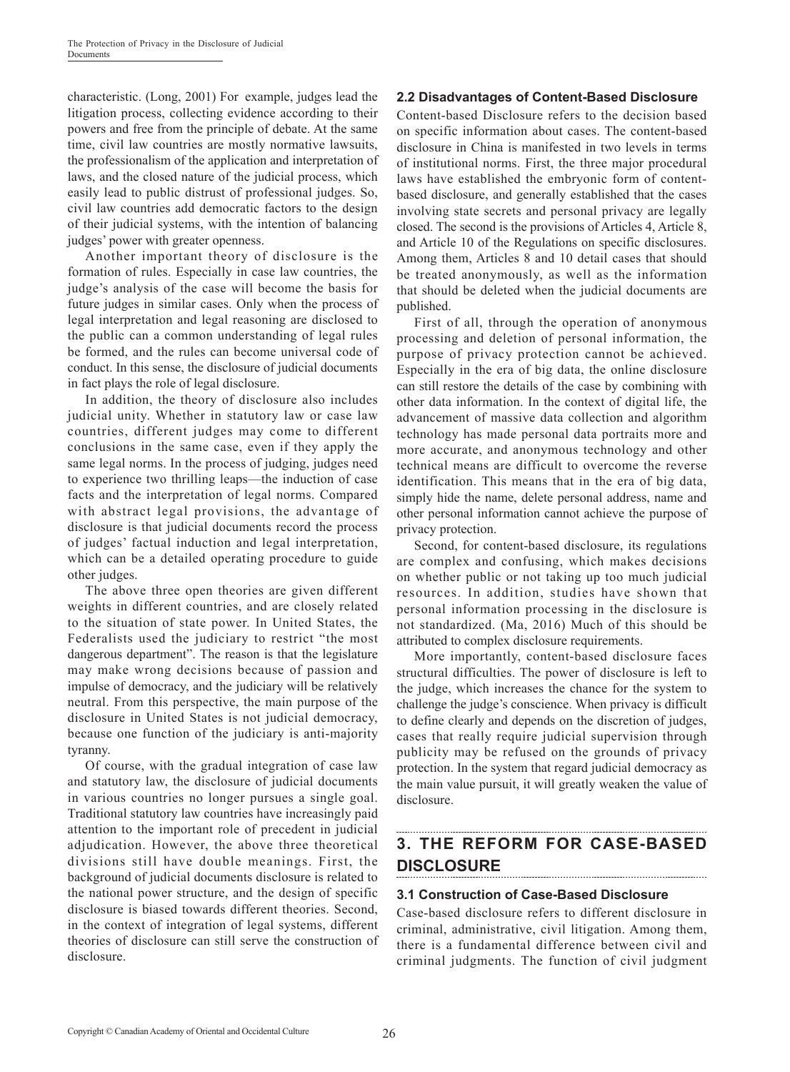characteristic. (Long, 2001) For example, judges lead the litigation process, collecting evidence according to their powers and free from the principle of debate. At the same time, civil law countries are mostly normative lawsuits, the professionalism of the application and interpretation of laws, and the closed nature of the judicial process, which easily lead to public distrust of professional judges. So, civil law countries add democratic factors to the design of their judicial systems, with the intention of balancing judges' power with greater openness.

Another important theory of disclosure is the formation of rules. Especially in case law countries, the judge's analysis of the case will become the basis for future judges in similar cases. Only when the process of legal interpretation and legal reasoning are disclosed to the public can a common understanding of legal rules be formed, and the rules can become universal code of conduct. In this sense, the disclosure of judicial documents in fact plays the role of legal disclosure.

In addition, the theory of disclosure also includes judicial unity. Whether in statutory law or case law countries, different judges may come to different conclusions in the same case, even if they apply the same legal norms. In the process of judging, judges need to experience two thrilling leaps—the induction of case facts and the interpretation of legal norms. Compared with abstract legal provisions, the advantage of disclosure is that judicial documents record the process of judges' factual induction and legal interpretation, which can be a detailed operating procedure to guide other judges.

The above three open theories are given different weights in different countries, and are closely related to the situation of state power. In United States, the Federalists used the judiciary to restrict "the most dangerous department". The reason is that the legislature may make wrong decisions because of passion and impulse of democracy, and the judiciary will be relatively neutral. From this perspective, the main purpose of the disclosure in United States is not judicial democracy, because one function of the judiciary is anti-majority tyranny.

Of course, with the gradual integration of case law and statutory law, the disclosure of judicial documents in various countries no longer pursues a single goal. Traditional statutory law countries have increasingly paid attention to the important role of precedent in judicial adjudication. However, the above three theoretical divisions still have double meanings. First, the background of judicial documents disclosure is related to the national power structure, and the design of specific disclosure is biased towards different theories. Second, in the context of integration of legal systems, different theories of disclosure can still serve the construction of disclosure.

### **2.2 Disadvantages of Content-Based Disclosure**

Content-based Disclosure refers to the decision based on specific information about cases. The content-based disclosure in China is manifested in two levels in terms of institutional norms. First, the three major procedural laws have established the embryonic form of contentbased disclosure, and generally established that the cases involving state secrets and personal privacy are legally closed. The second is the provisions of Articles 4, Article 8, and Article 10 of the Regulations on specific disclosures. Among them, Articles 8 and 10 detail cases that should be treated anonymously, as well as the information that should be deleted when the judicial documents are published.

First of all, through the operation of anonymous processing and deletion of personal information, the purpose of privacy protection cannot be achieved. Especially in the era of big data, the online disclosure can still restore the details of the case by combining with other data information. In the context of digital life, the advancement of massive data collection and algorithm technology has made personal data portraits more and more accurate, and anonymous technology and other technical means are difficult to overcome the reverse identification. This means that in the era of big data, simply hide the name, delete personal address, name and other personal information cannot achieve the purpose of privacy protection.

Second, for content-based disclosure, its regulations are complex and confusing, which makes decisions on whether public or not taking up too much judicial resources. In addition, studies have shown that personal information processing in the disclosure is not standardized. (Ma, 2016) Much of this should be attributed to complex disclosure requirements.

More importantly, content-based disclosure faces structural difficulties. The power of disclosure is left to the judge, which increases the chance for the system to challenge the judge's conscience. When privacy is difficult to define clearly and depends on the discretion of judges, cases that really require judicial supervision through publicity may be refused on the grounds of privacy protection. In the system that regard judicial democracy as the main value pursuit, it will greatly weaken the value of disclosure.

## **3. THE REFORM FOR CASE-BASED DISCLOSURE**

### **3.1 Construction of Case-Based Disclosure**

Case-based disclosure refers to different disclosure in criminal, administrative, civil litigation. Among them, there is a fundamental difference between civil and criminal judgments. The function of civil judgment